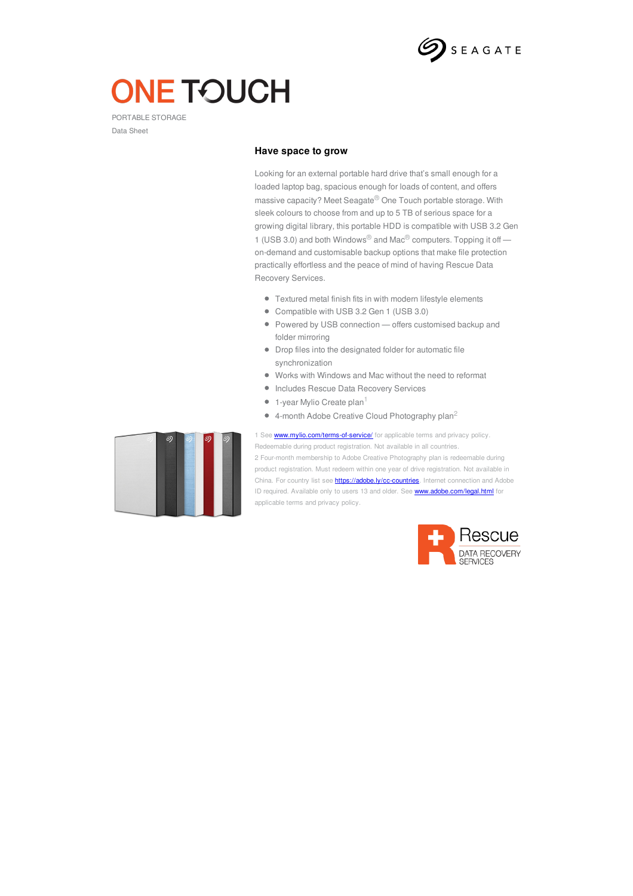

# **ONE TOUCH**

PORTABLE STORAGE Data Sheet

## **Have space to grow**

Looking for an external portable hard drive that's small enough for a loaded laptop bag, spacious enough for loads of content, and offers massive capacity? Meet Seagate® One Touch portable storage. With sleek colours to choose from and up to 5 TB of serious space for a growing digital library, this portable HDD is compatible with USB 3.2 Gen 1 (USB 3.0) and both Windows® and Mac® computers. Topping it off on-demand and customisable backup options that make file protection practically effortless and the peace of mind of having Rescue Data Recovery Services.

- Textured metal finish fits in with modern lifestyle elements
- Compatible with USB 3.2 Gen 1 (USB 3.0)
- Powered by USB connection offers customised backup and folder mirroring
- Drop files into the designated folder for automatic file synchronization
- Works with Windows and Mac without the need to reformat
- **Includes Rescue Data Recovery Services**
- 1-year Mylio Create plan 1
- 4-month Adobe Creative Cloud Photography plan<sup>2</sup>



1 See **<www.mylio.com/terms-of-service/>** for applicable terms and privacy policy. Redeemable during product registration. Not available in all countries. 2 Four-month membership to Adobe Creative Photography plan is redeemable during product registration. Must redeem within one year of drive registration. Not available in China. For country list see **<https://adobe.ly/cc-countries>**. Internet connection and Adobe ID required. Available only to users 13 and older. See **<www.adobe.com/legal.html>** for applicable terms and privacy policy.